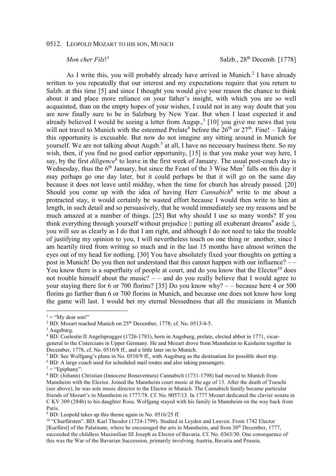## 0512. LEOPOLD MOZART TO HIS SON, MUNICH

## *Mon cher Fils*! 1

Salzb.,  $28^{th}$  Decemb. [1778]

As I write this, you will probably already have arrived in Munich.<sup>2</sup> I have already written to you repeatedly that our interest and my expectations require that you return to Salzb. at this time [5] and since I thought you would give your reason the chance to think about it and place more reliance on your father's insight, with which you are so well acquainted, than on the empty hopes of your wishes, I could not in any way doubt that you are now finally sure to be in Salzburg by New Year. But when I least expected it and already believed I would be seeing a letter from Augsp., $3$  [10] you give me news that you will not travel to Munich with the esteemed Prelate<sup>4</sup> before the  $26<sup>th</sup>$  or  $27<sup>th</sup>$ . Fine! – Taking this opportunity is excusable. But now do not imagine any sitting around in Munich for yourself. We are not talking about Augsb.<sup>5</sup> at all, I have no necessary business there. So my wish, then, if you find no good earlier opportunity, [15] is that you make your way here, I say, by the first *diligence*<sup>6</sup> to leave in the first week of January. The usual post-coach day is Wednesday, thus the  $6<sup>th</sup>$  January, but since the Feast of the 3 Wise Men<sup>7</sup> falls on this day it may perhaps go one day later, but it could perhaps be that it will go on the same day because it does not leave until midday, when the time for church has already passed. [20] Should you come up with the idea of having Herr *Cannabich*<sup>8</sup> write to me about a protracted stay, it would certainly be wasted effort because I would then write to him at length, in such detail and so persuasively, that he would immediately see my reasons and be much amazed at a number of things. [25] But why should I use so many words? If you think everything through yourself without prejudice  $|$ : putting all exuberant dreams<sup>9</sup> aside : $|$ , you will see as clearly as I do that I am right, and although I do not need to take the trouble of justifying my opinion to you, I will nevertheless touch on one thing or another, since I am heartily tired from writing so much and in the last 15 months have almost written the eyes out of my head for nothing. [30] You have absolutely fixed your thoughts on getting a post in Munich! Do you then not understand that this cannot happen with our influence? – – You know there is a superfluity of people at court, and do you know that the Elector<sup>10</sup> does not trouble himself about the music? – – and do you really believe that I would agree to your staying there for 6 or 700 florins? [35] Do you know why? – – because here 4 or 500 florins go further than 6 or 700 florins in Munich, and because one does not know how long the game will last. I would bet my eternal blessedness that all the musicians in Munich

 $\overline{a}$ 

 $1 = "My dear son!"$ 

<sup>&</sup>lt;sup>2</sup> BD: Mozart reached Munich on  $25<sup>th</sup>$  December, 1778; cf. No. 0513/4-5.

<sup>&</sup>lt;sup>3</sup> Augsburg.

<sup>4</sup> BD: Coelestin II Angelsprugger (1726-1783), born in Augsburg, prelate, elected abbot in 1771, vicargeneral to the Cistercians in Upper Germany. He and Mozart drove from Mannheim to Kaisheim together in December, 1778, cf. No. 0510/8 ff., and a little later on to Munich.

<sup>&</sup>lt;sup>5</sup> BD: See Wolfgang's plans in No. 0510/9 ff., with Augsburg as the destination for possible short trip.

<sup>&</sup>lt;sup>6</sup> BD: A large coach used for scheduled mail routes and also taking passengers.

 $7 =$  "Epiphany".

<sup>8</sup> BD: (Johann) Christian (Innocenz Bonaventura) Cannabich (1731-1798) had moved to Munich from Mannheim with the Elector. Joined the Mannheim court music at the age of 13. After the death of Toeschi (see above), he was sole music director to the Elector in Munich. The Cannabich family became particular friends of Mozart's in Mannheim in 1777/78. Cf. No. 0057/13. In 1777 Mozart dedicated the clavier sonata in C KV 309 (284b) to his daughter Rosa. Wolfgang stayed with his family in Mannheim on the way back from Paris.

<sup>&</sup>lt;sup>9</sup> BD: Leopold takes up this theme again in No. 0516/25 ff.

<sup>&</sup>lt;sup>10</sup> "Churfürsten". BD: Karl Theodor (1724-1799). Studied in Leyden and Leuven. From 1742 Elector [Kurfürst] of the Palatinate, where he encouraged the arts in Mannheim, and from 30th December, 1777, succeeded the childless Maximilian III Joseph as Elector of Bavaria. Cf. No. 0363/30. One consequence of this was the War of the Bavarian Succession, primarily involving Austria, Bavaria and Prussia.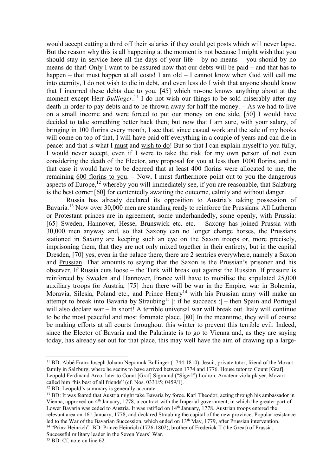would accept cutting a third off their salaries if they could get posts which will never lapse. But the reason why this is all happening at the moment is not because I might wish that you should stay in service here all the days of your life – by no means – you should by no means do that! Only I want to be assured now that our debts will be paid – and that has to happen – that must happen at all costs! I am old – I cannot know when God will call me into eternity, I do not wish to die in debt, and even less do I wish that anyone should know that I incurred these debts due to you, [45] which no-one knows anything about at the moment except Herr *Bullinger*. <sup>11</sup> I do not wish our things to be sold miserably after my death in order to pay debts and to be thrown away for half the money. – As we had to live on a small income and were forced to put our money on one side, [50] I would have decided to take something better back then; but now that I am sure, with your salary, of bringing in 100 florins every month, I see that, since casual work and the sale of my books will come on top of that, I will have paid off everything in a couple of years and can die in peace: and that is what I must and wish to do! But so that I can explain myself to you fully, I would never accept, even if I were to take the risk for my own person of not even considering the death of the Elector, any proposal for you at less than 1000 florins, and in that case it would have to be decreed that at least 400 florins were allocated to me, the remaining 600 florins to you. – Now, I must furthermore point out to you the dangerous aspects of Europe, $^{12}$  whereby you will immediately see, if you are reasonable, that Salzburg is the best corner [60] for contentedly awaiting the outcome, calmly and without danger.

Russia has already declared its opposition to Austria's taking possession of Bavaria.<sup>13</sup> Now over 30,000 men are standing ready to reinforce the Prussians. All Lutheran or Protestant princes are in agreement, some underhandedly, some openly, with Prussia: [65] Sweden, Hannover, Hesse, Brunswick etc. etc. – Saxony has joined Prussia with 30,000 men anyway and, so that Saxony can no longer change horses, the Prussians stationed in Saxony are keeping such an eye on the Saxon troops or, more precisely, imprisoning them, that they are not only mixed together in their entirety, but in the capital Dresden, [70] yes, even in the palace there, there are 2 sentries everywhere, namely a Saxon and Prussian. That amounts to saying that the Saxon is the Prussian's prisoner and his observer. If Russia cuts loose – the Turk will break out against the Russian. If pressure is reinforced by Sweden and Hannover, France will have to mobilise the stipulated 25,000 auxiliary troops for Austria, [75] then there will be war in the *Empire*, war in *Bohemia*, Moravia, Silesia, Poland etc., and Prince Henry<sup>14</sup> with his Prussian army will make an attempt to break into Bavaria by Straubing<sup>15</sup> : if he succeeds :  $-$  then Spain and Portugal will also declare war – In short! A terrible universal war will break out. Italy will continue to be the most peaceful and most fortunate place. [80] In the meantime, they will of course be making efforts at all courts throughout this winter to prevent this terrible evil. Indeed, since the Elector of Bavaria and the Palatinate is to go to Vienna and, as they are saying today, has already set out for that place, this may well have the aim of drawing up a large-

Successful military leader in the Seven Years' War.

 $\overline{a}$ 

<sup>&</sup>lt;sup>11</sup> BD: Abbé Franz Joseph Johann Nepomuk Bullinger (1744-1810), Jesuit, private tutor, friend of the Mozart family in Salzburg, where he seems to have arrived between 1774 and 1776. House tutor to Count [Graf] Leopold Ferdinand Arco, later to Count [Graf] Sigmund ("Sigerl") Lodron. Amateur viola player. Mozart called him "his best of all friends" (cf. Nos. 0331/5; 0459/1).

<sup>&</sup>lt;sup>12</sup> BD: Leopold's summary is generally accurate.

<sup>&</sup>lt;sup>13</sup> BD: It was feared that Austria might take Bavaria by force. Karl Theodor, acting through his ambassador in Vienna, approved on 4th January, 1778, a contract with the Imperial government, in which the greater part of Lower Bavaria was ceded to Austria. It was ratified on 14<sup>th</sup> January, 1778. Austrian troops entered the relevant area on 16<sup>th</sup> January, 1778, and declared Straubing the capital of the new province. Popular resistance led to the War of the Bavarian Succession, which ended on 13<sup>th</sup> May, 1779, after Prussian intervention. <sup>14</sup> "Prinz Heinrich". BD: Prince Heinrich (1726-1802), brother of Frederick II (the Great) of Prussia.

<sup>&</sup>lt;sup>15</sup> BD: Cf. note on line 62.